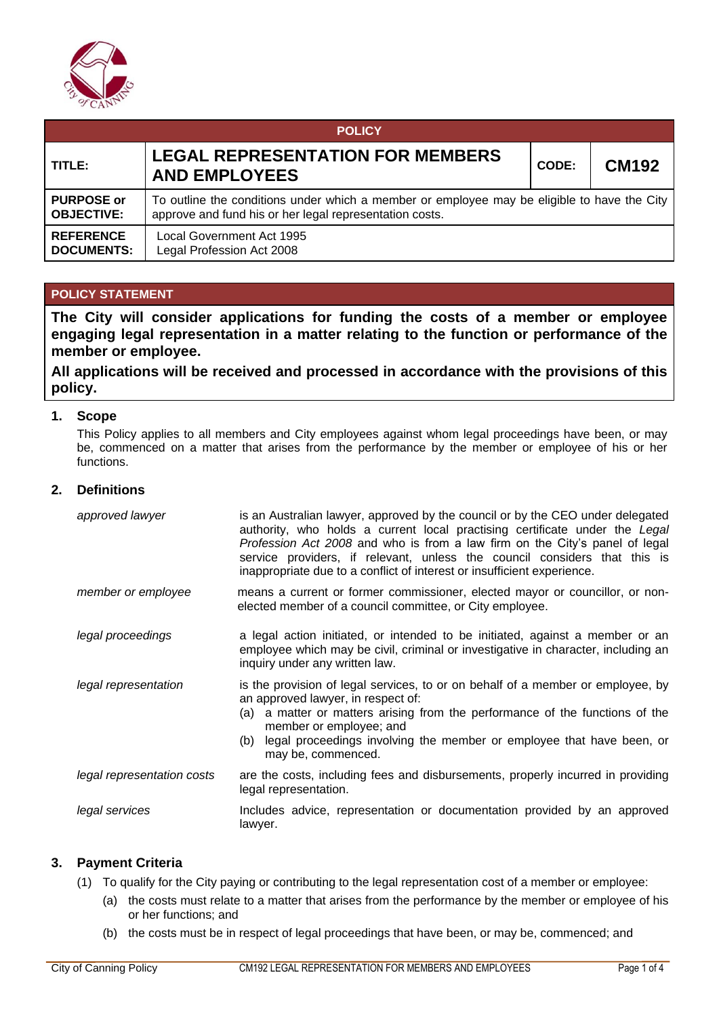

| <b>POLICY</b>                          |                                                                                                                                                        |       |              |  |  |  |  |
|----------------------------------------|--------------------------------------------------------------------------------------------------------------------------------------------------------|-------|--------------|--|--|--|--|
| TITLE:                                 | <b>LEGAL REPRESENTATION FOR MEMBERS</b><br><b>AND EMPLOYEES</b>                                                                                        | CODE: | <b>CM192</b> |  |  |  |  |
| <b>PURPOSE or</b><br><b>OBJECTIVE:</b> | To outline the conditions under which a member or employee may be eligible to have the City<br>approve and fund his or her legal representation costs. |       |              |  |  |  |  |
| <b>REFERENCE</b><br><b>DOCUMENTS:</b>  | Local Government Act 1995<br>Legal Profession Act 2008                                                                                                 |       |              |  |  |  |  |

## **POLICY STATEMENT**

**The City will consider applications for funding the costs of a member or employee engaging legal representation in a matter relating to the function or performance of the member or employee.**

**All applications will be received and processed in accordance with the provisions of this policy.**

## **1. Scope**

This Policy applies to all members and City employees against whom legal proceedings have been, or may be, commenced on a matter that arises from the performance by the member or employee of his or her functions.

## **2. Definitions**

| approved lawyer            | is an Australian lawyer, approved by the council or by the CEO under delegated<br>authority, who holds a current local practising certificate under the Legal<br>Profession Act 2008 and who is from a law firm on the City's panel of legal<br>service providers, if relevant, unless the council considers that this is<br>inappropriate due to a conflict of interest or insufficient experience. |
|----------------------------|------------------------------------------------------------------------------------------------------------------------------------------------------------------------------------------------------------------------------------------------------------------------------------------------------------------------------------------------------------------------------------------------------|
| member or employee         | means a current or former commissioner, elected mayor or councillor, or non-<br>elected member of a council committee, or City employee.                                                                                                                                                                                                                                                             |
| legal proceedings          | a legal action initiated, or intended to be initiated, against a member or an<br>employee which may be civil, criminal or investigative in character, including an<br>inquiry under any written law.                                                                                                                                                                                                 |
| legal representation       | is the provision of legal services, to or on behalf of a member or employee, by<br>an approved lawyer, in respect of:<br>(a) a matter or matters arising from the performance of the functions of the<br>member or employee; and<br>(b) legal proceedings involving the member or employee that have been, or<br>may be, commenced.                                                                  |
| legal representation costs | are the costs, including fees and disbursements, properly incurred in providing<br>legal representation.                                                                                                                                                                                                                                                                                             |
| legal services             | Includes advice, representation or documentation provided by an approved<br>lawyer.                                                                                                                                                                                                                                                                                                                  |

## **3. Payment Criteria**

- (1) To qualify for the City paying or contributing to the legal representation cost of a member or employee:
	- (a) the costs must relate to a matter that arises from the performance by the member or employee of his or her functions; and
	- (b) the costs must be in respect of legal proceedings that have been, or may be, commenced; and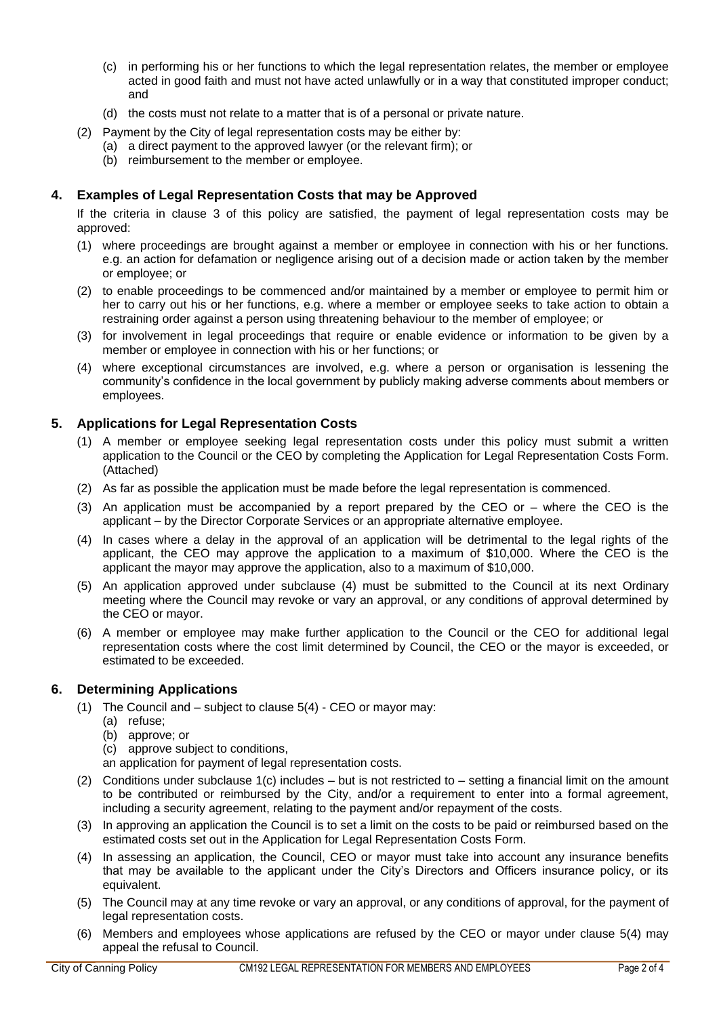- (c) in performing his or her functions to which the legal representation relates, the member or employee acted in good faith and must not have acted unlawfully or in a way that constituted improper conduct; and
- (d) the costs must not relate to a matter that is of a personal or private nature.
- (2) Payment by the City of legal representation costs may be either by:
	- (a) a direct payment to the approved lawyer (or the relevant firm); or
	- (b) reimbursement to the member or employee.

## **4. Examples of Legal Representation Costs that may be Approved**

If the criteria in clause 3 of this policy are satisfied, the payment of legal representation costs may be approved:

- (1) where proceedings are brought against a member or employee in connection with his or her functions. e.g. an action for defamation or negligence arising out of a decision made or action taken by the member or employee; or
- (2) to enable proceedings to be commenced and/or maintained by a member or employee to permit him or her to carry out his or her functions, e.g. where a member or employee seeks to take action to obtain a restraining order against a person using threatening behaviour to the member of employee; or
- (3) for involvement in legal proceedings that require or enable evidence or information to be given by a member or employee in connection with his or her functions; or
- (4) where exceptional circumstances are involved, e.g. where a person or organisation is lessening the community's confidence in the local government by publicly making adverse comments about members or employees.

#### **5. Applications for Legal Representation Costs**

- (1) A member or employee seeking legal representation costs under this policy must submit a written application to the Council or the CEO by completing the Application for Legal Representation Costs Form. (Attached)
- (2) As far as possible the application must be made before the legal representation is commenced.
- (3) An application must be accompanied by a report prepared by the CEO or where the CEO is the applicant – by the Director Corporate Services or an appropriate alternative employee.
- (4) In cases where a delay in the approval of an application will be detrimental to the legal rights of the applicant, the CEO may approve the application to a maximum of \$10,000. Where the CEO is the applicant the mayor may approve the application, also to a maximum of \$10,000.
- (5) An application approved under subclause (4) must be submitted to the Council at its next Ordinary meeting where the Council may revoke or vary an approval, or any conditions of approval determined by the CEO or mayor.
- (6) A member or employee may make further application to the Council or the CEO for additional legal representation costs where the cost limit determined by Council, the CEO or the mayor is exceeded, or estimated to be exceeded.

#### **6. Determining Applications**

- (1) The Council and subject to clause 5(4) CEO or mayor may:
	- (a) refuse;
	- (b) approve; or
	- (c) approve subject to conditions,
	- an application for payment of legal representation costs.
- (2) Conditions under subclause  $1(c)$  includes but is not restricted to setting a financial limit on the amount to be contributed or reimbursed by the City, and/or a requirement to enter into a formal agreement, including a security agreement, relating to the payment and/or repayment of the costs.
- (3) In approving an application the Council is to set a limit on the costs to be paid or reimbursed based on the estimated costs set out in the Application for Legal Representation Costs Form.
- (4) In assessing an application, the Council, CEO or mayor must take into account any insurance benefits that may be available to the applicant under the City's Directors and Officers insurance policy, or its equivalent.
- (5) The Council may at any time revoke or vary an approval, or any conditions of approval, for the payment of legal representation costs.
- (6) Members and employees whose applications are refused by the CEO or mayor under clause 5(4) may appeal the refusal to Council.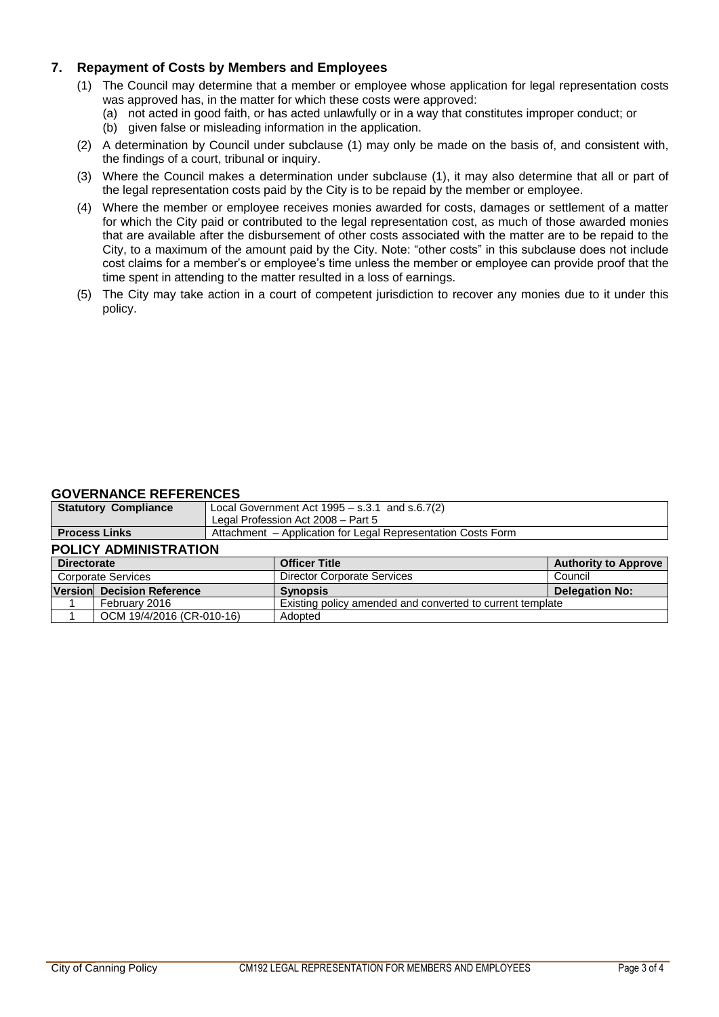# **7. Repayment of Costs by Members and Employees**

- (1) The Council may determine that a member or employee whose application for legal representation costs was approved has, in the matter for which these costs were approved:
	- (a) not acted in good faith, or has acted unlawfully or in a way that constitutes improper conduct; or
	- (b) given false or misleading information in the application.
- (2) A determination by Council under subclause (1) may only be made on the basis of, and consistent with, the findings of a court, tribunal or inquiry.
- (3) Where the Council makes a determination under subclause (1), it may also determine that all or part of the legal representation costs paid by the City is to be repaid by the member or employee.
- (4) Where the member or employee receives monies awarded for costs, damages or settlement of a matter for which the City paid or contributed to the legal representation cost, as much of those awarded monies that are available after the disbursement of other costs associated with the matter are to be repaid to the City, to a maximum of the amount paid by the City. Note: "other costs" in this subclause does not include cost claims for a member's or employee's time unless the member or employee can provide proof that the time spent in attending to the matter resulted in a loss of earnings.
- (5) The City may take action in a court of competent jurisdiction to recover any monies due to it under this policy.

#### **GOVERNANCE REFERENCES**

|                              | <b>Statutory Compliance</b> | Local Government Act $1995 - s.3.1$ and $s.6.7(2)$           |                                                           |                             |  |  |
|------------------------------|-----------------------------|--------------------------------------------------------------|-----------------------------------------------------------|-----------------------------|--|--|
|                              |                             | Legal Profession Act 2008 - Part 5                           |                                                           |                             |  |  |
| <b>Process Links</b>         |                             | Attachment - Application for Legal Representation Costs Form |                                                           |                             |  |  |
| <b>POLICY ADMINISTRATION</b> |                             |                                                              |                                                           |                             |  |  |
| <b>Directorate</b>           |                             |                                                              | <b>Officer Title</b>                                      | <b>Authority to Approve</b> |  |  |
| <b>Corporate Services</b>    |                             |                                                              | <b>Director Corporate Services</b>                        | Council                     |  |  |
|                              | Version Decision Reference  |                                                              | <b>Synopsis</b>                                           | <b>Delegation No:</b>       |  |  |
|                              | February 2016               |                                                              | Existing policy amended and converted to current template |                             |  |  |
|                              | OCM 19/4/2016 (CR-010-16)   |                                                              | Adopted                                                   |                             |  |  |